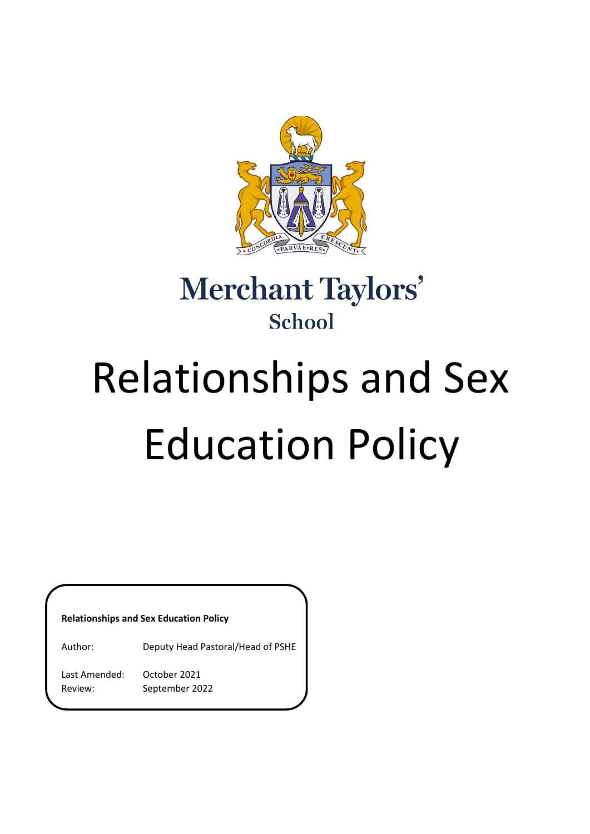

# Merchant Taylors' School

# Relationships and Sex Education Policy

**Relationships and Sex Education Policy** 

Author: Deputy Head Pastoral/Head of PSHE

Last Amended: October 2021 Review: September 2022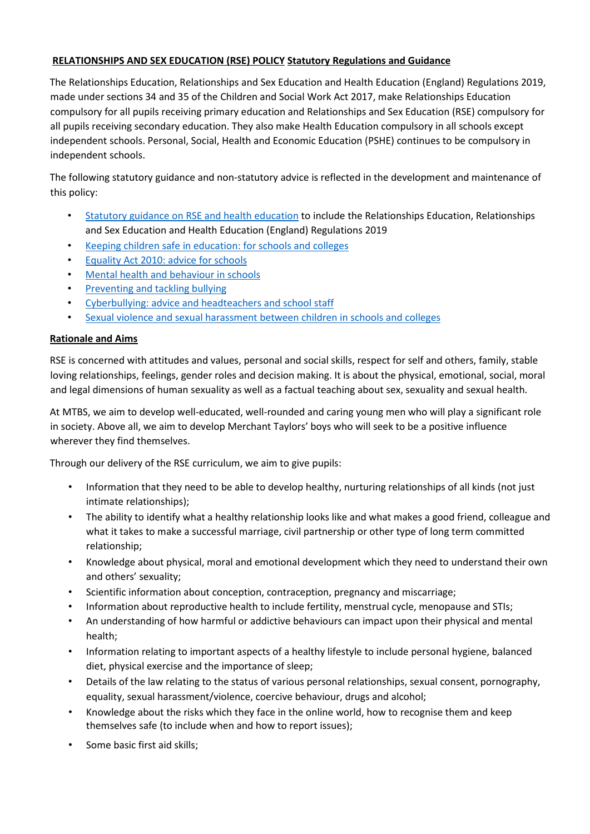# **RELATIONSHIPS AND SEX EDUCATION (RSE) POLICY Statutory Regulations and Guidance**

The Relationships Education, Relationships and Sex Education and Health Education (England) Regulations 2019, made under sections 34 and 35 of the Children and Social Work Act 2017, make Relationships Education compulsory for all pupils receiving primary education and Relationships and Sex Education (RSE) compulsory for all pupils receiving secondary education. They also make Health Education compulsory in all schools except independent schools. Personal, Social, Health and Economic Education (PSHE) continues to be compulsory in independent schools.

The following statutory guidance and non-statutory advice is reflected in the development and maintenance of this policy:

- [Statutory guidance on RSE and health education](https://assets.publishing.service.gov.uk/government/uploads/system/uploads/attachment_data/file/908013/Relationships_Education__Relationships_and_Sex_Education__RSE__and_Health_Education.pdf) to include the Relationships Education, Relationships and Sex Education and Health Education (England) Regulations 2019
- [Keeping children safe in education: for schools and colleges](https://assets.publishing.service.gov.uk/government/uploads/system/uploads/attachment_data/file/912592/Keeping_children_safe_in_education_Sep_2020.pdf)
- [Equality Act 2010: advice for schools](https://assets.publishing.service.gov.uk/government/uploads/system/uploads/attachment_data/file/315587/Equality_Act_Advice_Final.pdf)
- [Mental health and behaviour in schools](https://assets.publishing.service.gov.uk/government/uploads/system/uploads/attachment_data/file/755135/Mental_health_and_behaviour_in_schools__.pdf)
- [Preventing and tackling bullying](https://assets.publishing.service.gov.uk/government/uploads/system/uploads/attachment_data/file/623895/Preventing_and_tackling_bullying_advice.pdf)
- [Cyberbullying: advice and headteachers and school staff](https://assets.publishing.service.gov.uk/government/uploads/system/uploads/attachment_data/file/374850/Cyberbullying_Advice_for_Headteachers_and_School_Staff_121114.pdf)
- [Sexual violence and sexual harassment between children in schools and colleges](https://assets.publishing.service.gov.uk/government/uploads/system/uploads/attachment_data/file/719902/Sexual_violence_and_sexual_harassment_between_children_in_schools_and_colleges.pdf)

# **Rationale and Aims**

RSE is concerned with attitudes and values, personal and social skills, respect for self and others, family, stable loving relationships, feelings, gender roles and decision making. It is about the physical, emotional, social, moral and legal dimensions of human sexuality as well as a factual teaching about sex, sexuality and sexual health.

At MTBS, we aim to develop well-educated, well-rounded and caring young men who will play a significant role in society. Above all, we aim to develop Merchant Taylors' boys who will seek to be a positive influence wherever they find themselves.

Through our delivery of the RSE curriculum, we aim to give pupils:

- Information that they need to be able to develop healthy, nurturing relationships of all kinds (not just intimate relationships);
- The ability to identify what a healthy relationship looks like and what makes a good friend, colleague and what it takes to make a successful marriage, civil partnership or other type of long term committed relationship;
- Knowledge about physical, moral and emotional development which they need to understand their own and others' sexuality;
- Scientific information about conception, contraception, pregnancy and miscarriage;
- Information about reproductive health to include fertility, menstrual cycle, menopause and STIs;
- An understanding of how harmful or addictive behaviours can impact upon their physical and mental health;
- Information relating to important aspects of a healthy lifestyle to include personal hygiene, balanced diet, physical exercise and the importance of sleep;
- Details of the law relating to the status of various personal relationships, sexual consent, pornography, equality, sexual harassment/violence, coercive behaviour, drugs and alcohol;
- Knowledge about the risks which they face in the online world, how to recognise them and keep themselves safe (to include when and how to report issues);
- Some basic first aid skills: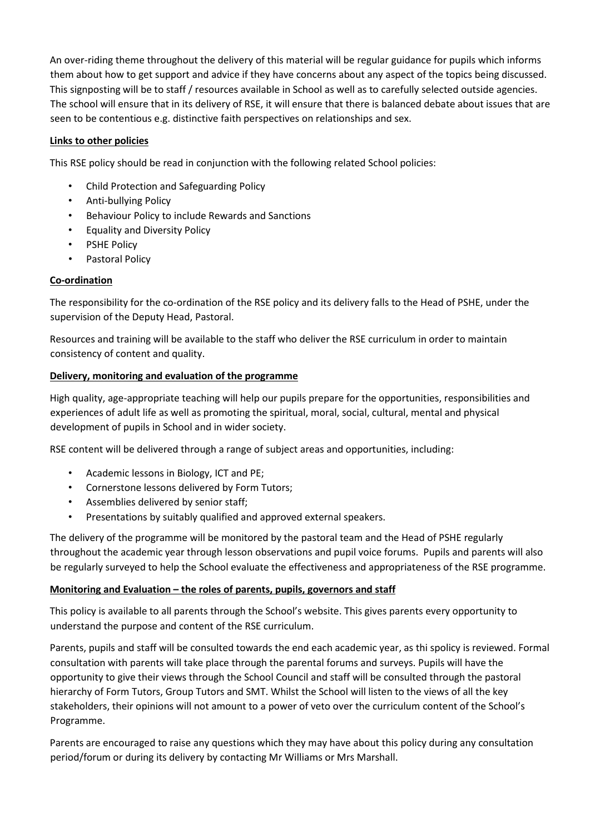An over-riding theme throughout the delivery of this material will be regular guidance for pupils which informs them about how to get support and advice if they have concerns about any aspect of the topics being discussed. This signposting will be to staff / resources available in School as well as to carefully selected outside agencies. The school will ensure that in its delivery of RSE, it will ensure that there is balanced debate about issues that are seen to be contentious e.g. distinctive faith perspectives on relationships and sex.

#### **Links to other policies**

This RSE policy should be read in conjunction with the following related School policies:

- Child Protection and Safeguarding Policy
- Anti-bullying Policy
- Behaviour Policy to include Rewards and Sanctions
- Equality and Diversity Policy
- PSHE Policy
- Pastoral Policy

#### **Co-ordination**

The responsibility for the co-ordination of the RSE policy and its delivery falls to the Head of PSHE, under the supervision of the Deputy Head, Pastoral.

Resources and training will be available to the staff who deliver the RSE curriculum in order to maintain consistency of content and quality.

#### **Delivery, monitoring and evaluation of the programme**

High quality, age-appropriate teaching will help our pupils prepare for the opportunities, responsibilities and experiences of adult life as well as promoting the spiritual, moral, social, cultural, mental and physical development of pupils in School and in wider society.

RSE content will be delivered through a range of subject areas and opportunities, including:

- Academic lessons in Biology, ICT and PE;
- Cornerstone lessons delivered by Form Tutors;
- Assemblies delivered by senior staff;
- Presentations by suitably qualified and approved external speakers.

The delivery of the programme will be monitored by the pastoral team and the Head of PSHE regularly throughout the academic year through lesson observations and pupil voice forums. Pupils and parents will also be regularly surveyed to help the School evaluate the effectiveness and appropriateness of the RSE programme.

#### **Monitoring and Evaluation – the roles of parents, pupils, governors and staff**

This policy is available to all parents through the School's website. This gives parents every opportunity to understand the purpose and content of the RSE curriculum.

Parents, pupils and staff will be consulted towards the end each academic year, as thi spolicy is reviewed. Formal consultation with parents will take place through the parental forums and surveys. Pupils will have the opportunity to give their views through the School Council and staff will be consulted through the pastoral hierarchy of Form Tutors, Group Tutors and SMT. Whilst the School will listen to the views of all the key stakeholders, their opinions will not amount to a power of veto over the curriculum content of the School's Programme.

Parents are encouraged to raise any questions which they may have about this policy during any consultation period/forum or during its delivery by contacting Mr Williams or Mrs Marshall.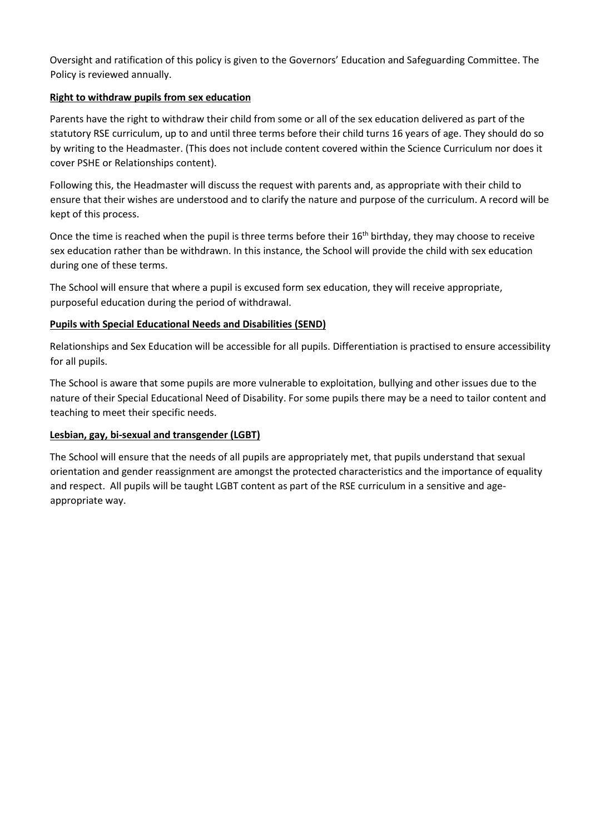Oversight and ratification of this policy is given to the Governors' Education and Safeguarding Committee. The Policy is reviewed annually.

#### **Right to withdraw pupils from sex education**

Parents have the right to withdraw their child from some or all of the sex education delivered as part of the statutory RSE curriculum, up to and until three terms before their child turns 16 years of age. They should do so by writing to the Headmaster. (This does not include content covered within the Science Curriculum nor does it cover PSHE or Relationships content).

Following this, the Headmaster will discuss the request with parents and, as appropriate with their child to ensure that their wishes are understood and to clarify the nature and purpose of the curriculum. A record will be kept of this process.

Once the time is reached when the pupil is three terms before their 16<sup>th</sup> birthday, they may choose to receive sex education rather than be withdrawn. In this instance, the School will provide the child with sex education during one of these terms.

The School will ensure that where a pupil is excused form sex education, they will receive appropriate, purposeful education during the period of withdrawal.

#### **Pupils with Special Educational Needs and Disabilities (SEND)**

Relationships and Sex Education will be accessible for all pupils. Differentiation is practised to ensure accessibility for all pupils.

The School is aware that some pupils are more vulnerable to exploitation, bullying and other issues due to the nature of their Special Educational Need of Disability. For some pupils there may be a need to tailor content and teaching to meet their specific needs.

#### **Lesbian, gay, bi-sexual and transgender (LGBT)**

The School will ensure that the needs of all pupils are appropriately met, that pupils understand that sexual orientation and gender reassignment are amongst the protected characteristics and the importance of equality and respect. All pupils will be taught LGBT content as part of the RSE curriculum in a sensitive and ageappropriate way.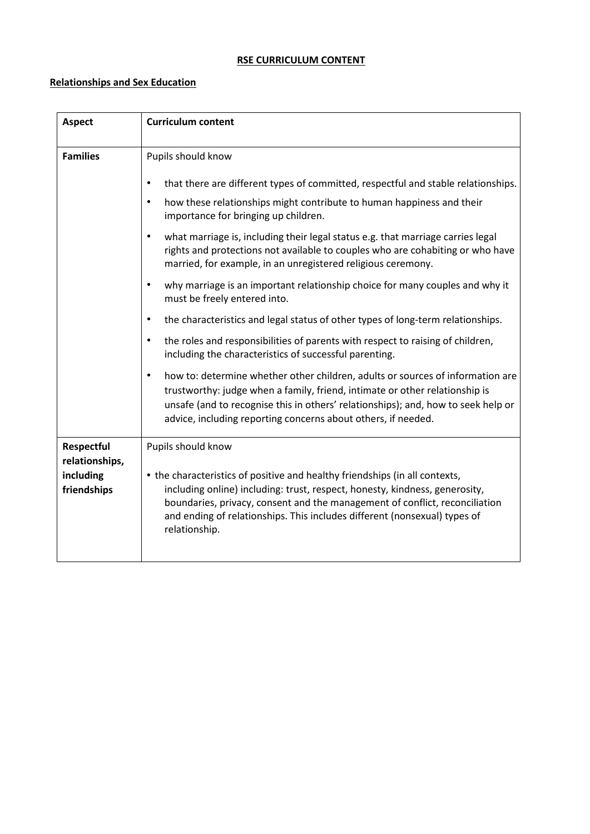# **RSE CURRICULUM CONTENT**

# **Relationships and Sex Education**

| <b>Aspect</b>                                            | <b>Curriculum content</b>                                                                                                                                                                                                                                                                                                                                                                                                                                                                                                                                                                                                                                                                                                                                                                                                                                                                                                                                                                                                                                                                                                                                                       |
|----------------------------------------------------------|---------------------------------------------------------------------------------------------------------------------------------------------------------------------------------------------------------------------------------------------------------------------------------------------------------------------------------------------------------------------------------------------------------------------------------------------------------------------------------------------------------------------------------------------------------------------------------------------------------------------------------------------------------------------------------------------------------------------------------------------------------------------------------------------------------------------------------------------------------------------------------------------------------------------------------------------------------------------------------------------------------------------------------------------------------------------------------------------------------------------------------------------------------------------------------|
| <b>Families</b>                                          | Pupils should know<br>that there are different types of committed, respectful and stable relationships.<br>how these relationships might contribute to human happiness and their<br>$\bullet$<br>importance for bringing up children.<br>what marriage is, including their legal status e.g. that marriage carries legal<br>rights and protections not available to couples who are cohabiting or who have<br>married, for example, in an unregistered religious ceremony.<br>why marriage is an important relationship choice for many couples and why it<br>$\bullet$<br>must be freely entered into.<br>the characteristics and legal status of other types of long-term relationships.<br>the roles and responsibilities of parents with respect to raising of children,<br>٠<br>including the characteristics of successful parenting.<br>how to: determine whether other children, adults or sources of information are<br>$\bullet$<br>trustworthy: judge when a family, friend, intimate or other relationship is<br>unsafe (and to recognise this in others' relationships); and, how to seek help or<br>advice, including reporting concerns about others, if needed. |
| Respectful<br>relationships,<br>including<br>friendships | Pupils should know<br>• the characteristics of positive and healthy friendships (in all contexts,<br>including online) including: trust, respect, honesty, kindness, generosity,<br>boundaries, privacy, consent and the management of conflict, reconciliation<br>and ending of relationships. This includes different (nonsexual) types of<br>relationship.                                                                                                                                                                                                                                                                                                                                                                                                                                                                                                                                                                                                                                                                                                                                                                                                                   |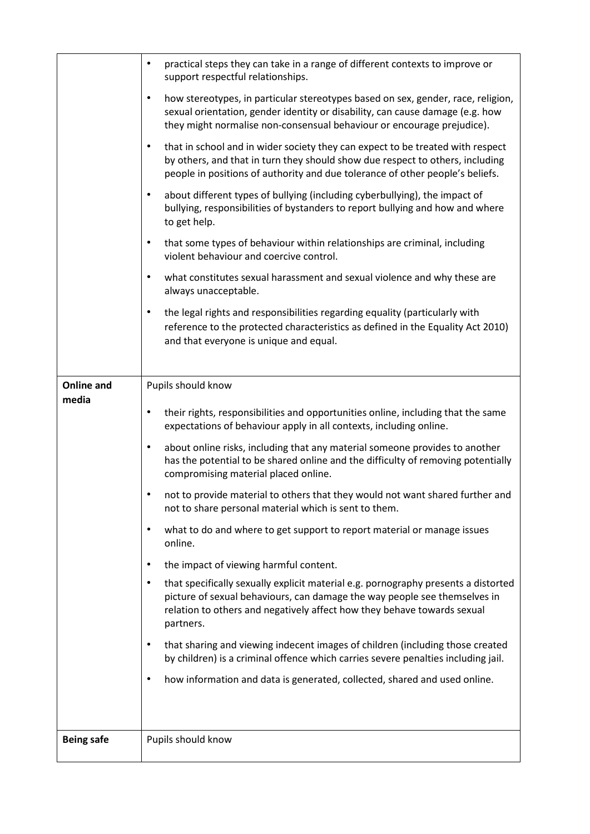|                   | practical steps they can take in a range of different contexts to improve or<br>support respectful relationships.                                                                                                                                                    |
|-------------------|----------------------------------------------------------------------------------------------------------------------------------------------------------------------------------------------------------------------------------------------------------------------|
|                   | how stereotypes, in particular stereotypes based on sex, gender, race, religion,<br>٠<br>sexual orientation, gender identity or disability, can cause damage (e.g. how<br>they might normalise non-consensual behaviour or encourage prejudice).                     |
|                   | that in school and in wider society they can expect to be treated with respect<br>٠<br>by others, and that in turn they should show due respect to others, including<br>people in positions of authority and due tolerance of other people's beliefs.                |
|                   | about different types of bullying (including cyberbullying), the impact of<br>$\bullet$<br>bullying, responsibilities of bystanders to report bullying and how and where<br>to get help.                                                                             |
|                   | that some types of behaviour within relationships are criminal, including<br>violent behaviour and coercive control.                                                                                                                                                 |
|                   | what constitutes sexual harassment and sexual violence and why these are<br>always unacceptable.                                                                                                                                                                     |
|                   | the legal rights and responsibilities regarding equality (particularly with<br>٠<br>reference to the protected characteristics as defined in the Equality Act 2010)<br>and that everyone is unique and equal.                                                        |
| <b>Online and</b> | Pupils should know                                                                                                                                                                                                                                                   |
| media             | their rights, responsibilities and opportunities online, including that the same<br>expectations of behaviour apply in all contexts, including online.                                                                                                               |
|                   | about online risks, including that any material someone provides to another<br>٠<br>has the potential to be shared online and the difficulty of removing potentially<br>compromising material placed online.                                                         |
|                   | not to provide material to others that they would not want shared further and<br>not to share personal material which is sent to them.                                                                                                                               |
|                   | what to do and where to get support to report material or manage issues<br>$\bullet$<br>online.                                                                                                                                                                      |
|                   | the impact of viewing harmful content.<br>$\bullet$                                                                                                                                                                                                                  |
|                   | that specifically sexually explicit material e.g. pornography presents a distorted<br>$\bullet$<br>picture of sexual behaviours, can damage the way people see themselves in<br>relation to others and negatively affect how they behave towards sexual<br>partners. |
|                   | that sharing and viewing indecent images of children (including those created<br>$\bullet$<br>by children) is a criminal offence which carries severe penalties including jail.                                                                                      |
|                   | how information and data is generated, collected, shared and used online.<br>$\bullet$                                                                                                                                                                               |
|                   |                                                                                                                                                                                                                                                                      |
| <b>Being safe</b> | Pupils should know                                                                                                                                                                                                                                                   |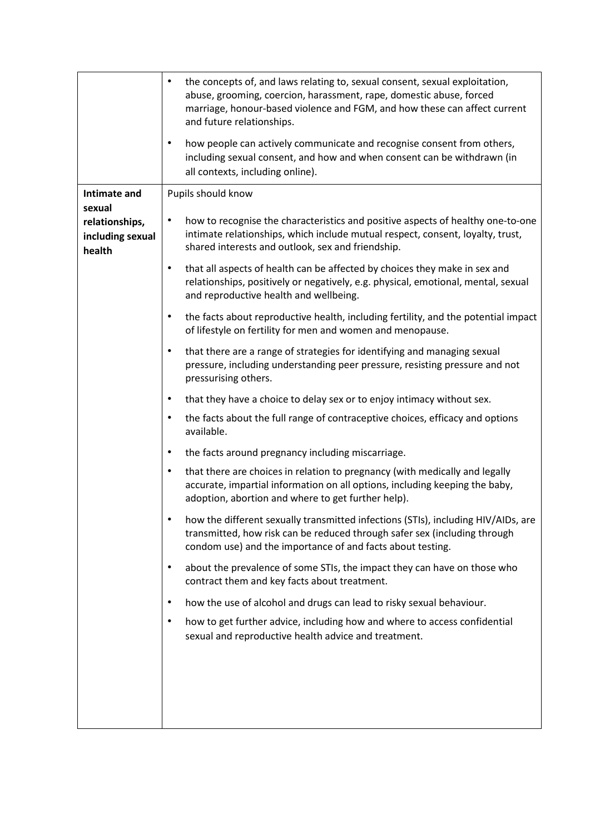|                                                        | the concepts of, and laws relating to, sexual consent, sexual exploitation,<br>abuse, grooming, coercion, harassment, rape, domestic abuse, forced<br>marriage, honour-based violence and FGM, and how these can affect current<br>and future relationships.<br>how people can actively communicate and recognise consent from others,<br>including sexual consent, and how and when consent can be withdrawn (in<br>all contexts, including online). |
|--------------------------------------------------------|-------------------------------------------------------------------------------------------------------------------------------------------------------------------------------------------------------------------------------------------------------------------------------------------------------------------------------------------------------------------------------------------------------------------------------------------------------|
| Intimate and                                           | Pupils should know                                                                                                                                                                                                                                                                                                                                                                                                                                    |
| sexual<br>relationships,<br>including sexual<br>health | how to recognise the characteristics and positive aspects of healthy one-to-one<br>intimate relationships, which include mutual respect, consent, loyalty, trust,<br>shared interests and outlook, sex and friendship.                                                                                                                                                                                                                                |
|                                                        | that all aspects of health can be affected by choices they make in sex and<br>relationships, positively or negatively, e.g. physical, emotional, mental, sexual<br>and reproductive health and wellbeing.                                                                                                                                                                                                                                             |
|                                                        | the facts about reproductive health, including fertility, and the potential impact<br>of lifestyle on fertility for men and women and menopause.                                                                                                                                                                                                                                                                                                      |
|                                                        | that there are a range of strategies for identifying and managing sexual<br>pressure, including understanding peer pressure, resisting pressure and not<br>pressurising others.                                                                                                                                                                                                                                                                       |
|                                                        | that they have a choice to delay sex or to enjoy intimacy without sex.                                                                                                                                                                                                                                                                                                                                                                                |
|                                                        | the facts about the full range of contraceptive choices, efficacy and options<br>٠<br>available.                                                                                                                                                                                                                                                                                                                                                      |
|                                                        | the facts around pregnancy including miscarriage.                                                                                                                                                                                                                                                                                                                                                                                                     |
|                                                        | that there are choices in relation to pregnancy (with medically and legally<br>$\bullet$<br>accurate, impartial information on all options, including keeping the baby,<br>adoption, abortion and where to get further help).                                                                                                                                                                                                                         |
|                                                        | how the different sexually transmitted infections (STIs), including HIV/AIDs, are<br>transmitted, how risk can be reduced through safer sex (including through<br>condom use) and the importance of and facts about testing.                                                                                                                                                                                                                          |
|                                                        | about the prevalence of some STIs, the impact they can have on those who<br>$\bullet$<br>contract them and key facts about treatment.                                                                                                                                                                                                                                                                                                                 |
|                                                        | how the use of alcohol and drugs can lead to risky sexual behaviour.<br>$\bullet$                                                                                                                                                                                                                                                                                                                                                                     |
|                                                        | how to get further advice, including how and where to access confidential<br>$\bullet$<br>sexual and reproductive health advice and treatment.                                                                                                                                                                                                                                                                                                        |
|                                                        |                                                                                                                                                                                                                                                                                                                                                                                                                                                       |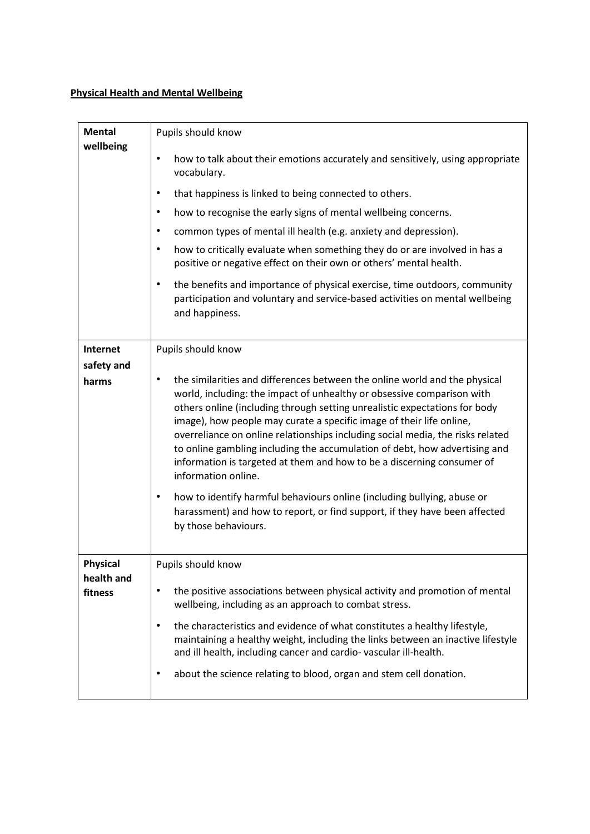# **Physical Health and Mental Wellbeing**

| <b>Mental</b><br>wellbeing               | Pupils should know<br>how to talk about their emotions accurately and sensitively, using appropriate<br>$\bullet$<br>vocabulary.<br>that happiness is linked to being connected to others.<br>$\bullet$<br>how to recognise the early signs of mental wellbeing concerns.<br>$\bullet$<br>common types of mental ill health (e.g. anxiety and depression).<br>$\bullet$<br>how to critically evaluate when something they do or are involved in has a<br>$\bullet$<br>positive or negative effect on their own or others' mental health.<br>$\bullet$<br>the benefits and importance of physical exercise, time outdoors, community<br>participation and voluntary and service-based activities on mental wellbeing                                                                                          |
|------------------------------------------|--------------------------------------------------------------------------------------------------------------------------------------------------------------------------------------------------------------------------------------------------------------------------------------------------------------------------------------------------------------------------------------------------------------------------------------------------------------------------------------------------------------------------------------------------------------------------------------------------------------------------------------------------------------------------------------------------------------------------------------------------------------------------------------------------------------|
|                                          | and happiness.                                                                                                                                                                                                                                                                                                                                                                                                                                                                                                                                                                                                                                                                                                                                                                                               |
| Internet<br>safety and<br>harms          | Pupils should know<br>the similarities and differences between the online world and the physical<br>$\bullet$<br>world, including: the impact of unhealthy or obsessive comparison with<br>others online (including through setting unrealistic expectations for body<br>image), how people may curate a specific image of their life online,<br>overreliance on online relationships including social media, the risks related<br>to online gambling including the accumulation of debt, how advertising and<br>information is targeted at them and how to be a discerning consumer of<br>information online.<br>how to identify harmful behaviours online (including bullying, abuse or<br>$\bullet$<br>harassment) and how to report, or find support, if they have been affected<br>by those behaviours. |
| <b>Physical</b><br>health and<br>fitness | Pupils should know<br>the positive associations between physical activity and promotion of mental<br>$\bullet$<br>wellbeing, including as an approach to combat stress.<br>the characteristics and evidence of what constitutes a healthy lifestyle,<br>$\bullet$<br>maintaining a healthy weight, including the links between an inactive lifestyle<br>and ill health, including cancer and cardio-vascular ill-health.<br>about the science relating to blood, organ and stem cell donation.<br>$\bullet$                                                                                                                                                                                                                                                                                                  |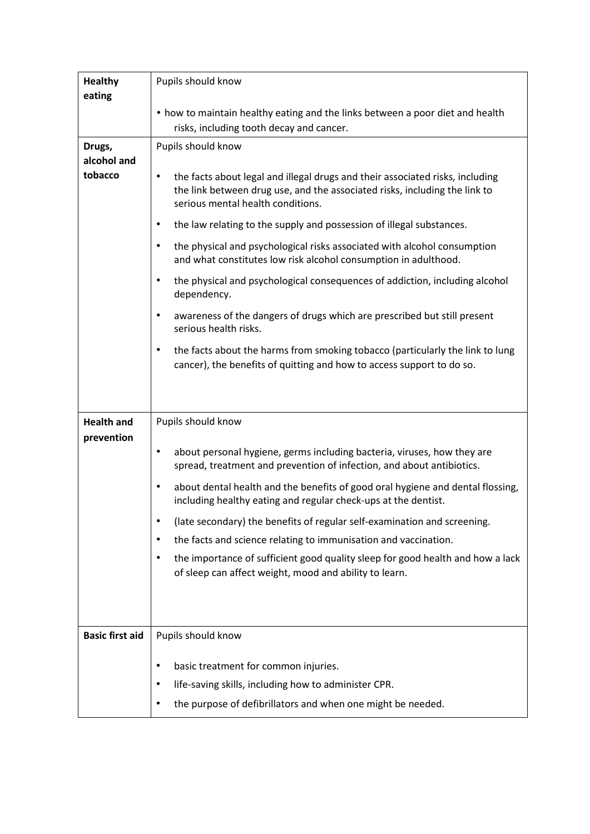| <b>Healthy</b><br>eating         | Pupils should know                                                                                                                                                  |
|----------------------------------|---------------------------------------------------------------------------------------------------------------------------------------------------------------------|
|                                  | • how to maintain healthy eating and the links between a poor diet and health<br>risks, including tooth decay and cancer.                                           |
| Drugs,<br>alcohol and<br>tobacco | Pupils should know<br>the facts about legal and illegal drugs and their associated risks, including<br>٠                                                            |
|                                  | the link between drug use, and the associated risks, including the link to<br>serious mental health conditions.                                                     |
|                                  | the law relating to the supply and possession of illegal substances.<br>٠                                                                                           |
|                                  | the physical and psychological risks associated with alcohol consumption<br>$\bullet$<br>and what constitutes low risk alcohol consumption in adulthood.            |
|                                  | the physical and psychological consequences of addiction, including alcohol<br>$\bullet$<br>dependency.                                                             |
|                                  | awareness of the dangers of drugs which are prescribed but still present<br>$\bullet$<br>serious health risks.                                                      |
|                                  | the facts about the harms from smoking tobacco (particularly the link to lung<br>$\bullet$<br>cancer), the benefits of quitting and how to access support to do so. |
|                                  |                                                                                                                                                                     |
| <b>Health and</b><br>prevention  | Pupils should know                                                                                                                                                  |
|                                  | about personal hygiene, germs including bacteria, viruses, how they are<br>٠<br>spread, treatment and prevention of infection, and about antibiotics.               |
|                                  | about dental health and the benefits of good oral hygiene and dental flossing,<br>$\bullet$<br>including healthy eating and regular check-ups at the dentist.       |
|                                  | (late secondary) the benefits of regular self-examination and screening.                                                                                            |
|                                  | the facts and science relating to immunisation and vaccination.<br>٠                                                                                                |
|                                  | the importance of sufficient good quality sleep for good health and how a lack<br>٠<br>of sleep can affect weight, mood and ability to learn.                       |
|                                  |                                                                                                                                                                     |
| <b>Basic first aid</b>           | Pupils should know                                                                                                                                                  |
|                                  | basic treatment for common injuries.<br>٠                                                                                                                           |
|                                  | life-saving skills, including how to administer CPR.<br>٠                                                                                                           |
|                                  | the purpose of defibrillators and when one might be needed.<br>٠                                                                                                    |